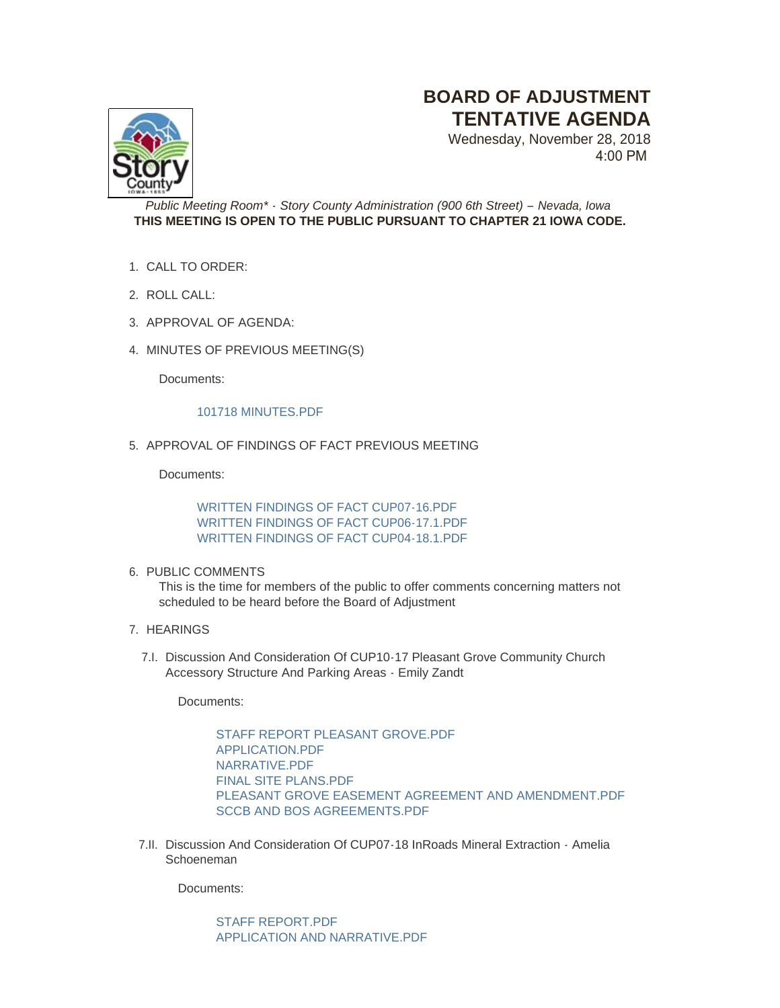## **BOARD OF ADJUSTMENT TENTATIVE AGENDA**

Wednesday, November 28, 2018 4:00 PM



*Public Meeting Room\* - Story County Administration (900 6th Street) – Nevada, Iowa* **THIS MEETING IS OPEN TO THE PUBLIC PURSUANT TO CHAPTER 21 IOWA CODE.**

- CALL TO ORDER: 1.
- 2. ROLL CALL:
- 3. APPROVAL OF AGENDA:
- 4. MINUTES OF PREVIOUS MEETING(S)

Documents:

## [101718 MINUTES.PDF](http://www.storycountyiowa.gov/AgendaCenter/ViewFile/Item/12826?fileID=10204)

5. APPROVAL OF FINDINGS OF FACT PREVIOUS MEETING

Documents:

[WRITTEN FINDINGS OF FACT CUP07-16.PDF](http://www.storycountyiowa.gov/AgendaCenter/ViewFile/Item/13231?fileID=10207) [WRITTEN FINDINGS OF FACT CUP06-17.1.PDF](http://www.storycountyiowa.gov/AgendaCenter/ViewFile/Item/13231?fileID=10206) [WRITTEN FINDINGS OF FACT CUP04-18.1.PDF](http://www.storycountyiowa.gov/AgendaCenter/ViewFile/Item/13231?fileID=10205)

## 6. PUBLIC COMMENTS

This is the time for members of the public to offer comments concerning matters not scheduled to be heard before the Board of Adjustment

- 7. HEARINGS
	- 7.I. Discussion And Consideration Of CUP10-17 Pleasant Grove Community Church Accessory Structure And Parking Areas - Emily Zandt

Documents:

[STAFF REPORT PLEASANT GROVE.PDF](http://www.storycountyiowa.gov/AgendaCenter/ViewFile/Item/13222?fileID=10196) [APPLICATION.PDF](http://www.storycountyiowa.gov/AgendaCenter/ViewFile/Item/13222?fileID=10197) [NARRATIVE.PDF](http://www.storycountyiowa.gov/AgendaCenter/ViewFile/Item/13222?fileID=10199) FINAL SITE PLANS PDF [PLEASANT GROVE EASEMENT AGREEMENT AND AMENDMENT.PDF](http://www.storycountyiowa.gov/AgendaCenter/ViewFile/Item/13222?fileID=10200) [SCCB AND BOS AGREEMENTS.PDF](http://www.storycountyiowa.gov/AgendaCenter/ViewFile/Item/13222?fileID=10201)

7.II. Discussion And Consideration Of CUP07-18 InRoads Mineral Extraction - Amelia Schoeneman

Documents:

[STAFF REPORT.PDF](http://www.storycountyiowa.gov/AgendaCenter/ViewFile/Item/13219?fileID=10183) [APPLICATION AND NARRATIVE.PDF](http://www.storycountyiowa.gov/AgendaCenter/ViewFile/Item/13219?fileID=10184)